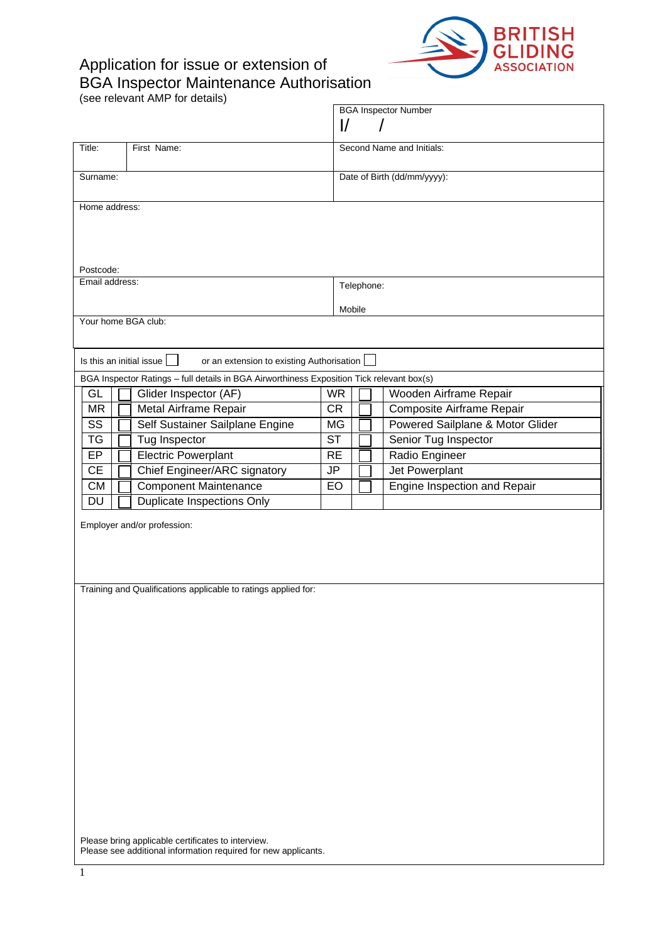## Application for issue or extension of BGA Inspector Maintenance Authorisation



(see relevant AMP for details)

|                       |                                                                                           |           |                             |  | <b>BGA Inspector Number</b>                         |  |  |
|-----------------------|-------------------------------------------------------------------------------------------|-----------|-----------------------------|--|-----------------------------------------------------|--|--|
|                       |                                                                                           | I/        |                             |  |                                                     |  |  |
| Title:<br>First Name: |                                                                                           |           | Second Name and Initials:   |  |                                                     |  |  |
| Surname:              |                                                                                           |           | Date of Birth (dd/mm/yyyy): |  |                                                     |  |  |
|                       |                                                                                           |           |                             |  |                                                     |  |  |
| Home address:         |                                                                                           |           |                             |  |                                                     |  |  |
|                       |                                                                                           |           |                             |  |                                                     |  |  |
|                       |                                                                                           |           |                             |  |                                                     |  |  |
| Postcode:             |                                                                                           |           |                             |  |                                                     |  |  |
| Email address:        |                                                                                           |           | Telephone:                  |  |                                                     |  |  |
|                       |                                                                                           |           |                             |  |                                                     |  |  |
| Your home BGA club:   |                                                                                           | Mobile    |                             |  |                                                     |  |  |
|                       |                                                                                           |           |                             |  |                                                     |  |  |
|                       |                                                                                           |           |                             |  |                                                     |  |  |
|                       | Is this an initial issue $\ \cdot\ $<br>or an extension to existing Authorisation         |           |                             |  |                                                     |  |  |
| GL                    | BGA Inspector Ratings - full details in BGA Airworthiness Exposition Tick relevant box(s) | <b>WR</b> |                             |  |                                                     |  |  |
| <b>MR</b>             | Glider Inspector (AF)<br>Metal Airframe Repair                                            | CR        |                             |  | Wooden Airframe Repair<br>Composite Airframe Repair |  |  |
| SS                    | Self Sustainer Sailplane Engine                                                           | MG        |                             |  | Powered Sailplane & Motor Glider                    |  |  |
| <b>TG</b>             | Tug Inspector                                                                             | <b>ST</b> |                             |  | Senior Tug Inspector                                |  |  |
| EP                    | <b>Electric Powerplant</b>                                                                | <b>RE</b> |                             |  | Radio Engineer                                      |  |  |
| <b>CE</b>             | Chief Engineer/ARC signatory                                                              | JP        |                             |  | Jet Powerplant                                      |  |  |
| <b>CM</b>             | <b>Component Maintenance</b>                                                              | EO        |                             |  | Engine Inspection and Repair                        |  |  |
| $\overline{DU}$       | <b>Duplicate Inspections Only</b>                                                         |           |                             |  |                                                     |  |  |
|                       | Employer and/or profession:                                                               |           |                             |  |                                                     |  |  |
|                       |                                                                                           |           |                             |  |                                                     |  |  |
|                       |                                                                                           |           |                             |  |                                                     |  |  |
|                       |                                                                                           |           |                             |  |                                                     |  |  |
|                       | Training and Qualifications applicable to ratings applied for:                            |           |                             |  |                                                     |  |  |
|                       |                                                                                           |           |                             |  |                                                     |  |  |
|                       |                                                                                           |           |                             |  |                                                     |  |  |
|                       |                                                                                           |           |                             |  |                                                     |  |  |
|                       |                                                                                           |           |                             |  |                                                     |  |  |
|                       |                                                                                           |           |                             |  |                                                     |  |  |
|                       |                                                                                           |           |                             |  |                                                     |  |  |
|                       |                                                                                           |           |                             |  |                                                     |  |  |
|                       |                                                                                           |           |                             |  |                                                     |  |  |
|                       |                                                                                           |           |                             |  |                                                     |  |  |
|                       |                                                                                           |           |                             |  |                                                     |  |  |
|                       |                                                                                           |           |                             |  |                                                     |  |  |
|                       |                                                                                           |           |                             |  |                                                     |  |  |
|                       |                                                                                           |           |                             |  |                                                     |  |  |
|                       |                                                                                           |           |                             |  |                                                     |  |  |
|                       | Please bring applicable certificates to interview.                                        |           |                             |  |                                                     |  |  |
|                       | Please see additional information required for new applicants.                            |           |                             |  |                                                     |  |  |
|                       |                                                                                           |           |                             |  |                                                     |  |  |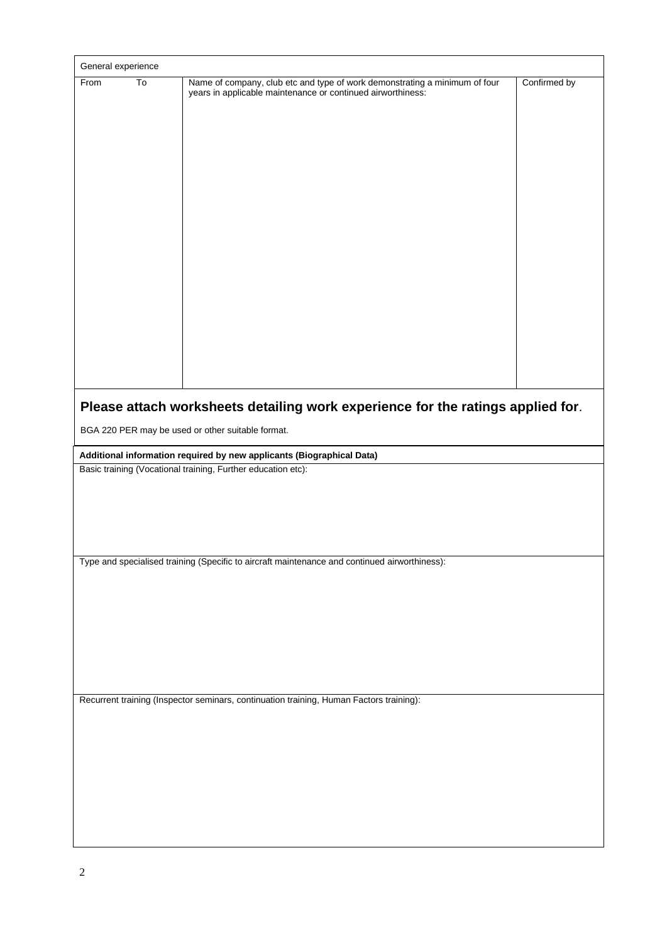| General experience |                                                                                                                                                                                                               |              |
|--------------------|---------------------------------------------------------------------------------------------------------------------------------------------------------------------------------------------------------------|--------------|
| To<br>From         | Name of company, club etc and type of work demonstrating a minimum of four<br>years in applicable maintenance or continued airworthiness:                                                                     | Confirmed by |
|                    | Please attach worksheets detailing work experience for the ratings applied for.<br>BGA 220 PER may be used or other suitable format.<br>Additional information required by new applicants (Biographical Data) |              |
|                    | Basic training (Vocational training, Further education etc):                                                                                                                                                  |              |
|                    | Type and specialised training (Specific to aircraft maintenance and continued airworthiness):                                                                                                                 |              |
|                    | Recurrent training (Inspector seminars, continuation training, Human Factors training):                                                                                                                       |              |